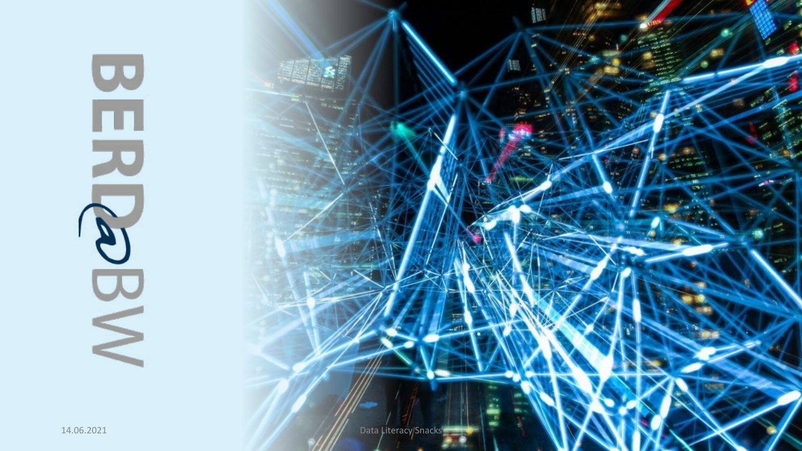

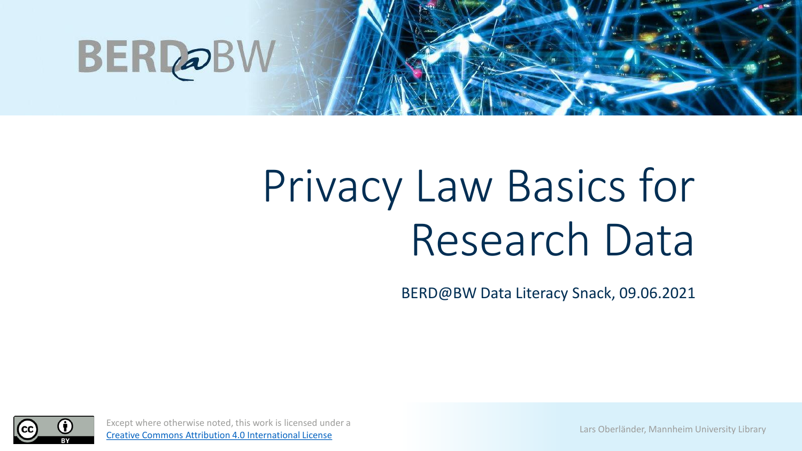

## Privacy Law Basics for Research Data

BERD@BW Data Literacy Snack, 09.06.2021



Except where otherwise noted, this work is licensed under a Except where otherwise hoted, this work is heensed driver a large Lars Oberländer, Mannheim University Library<br>[Creative Commons Attribution 4.0 International License](https://creativecommons.org/licenses/by/4.0/)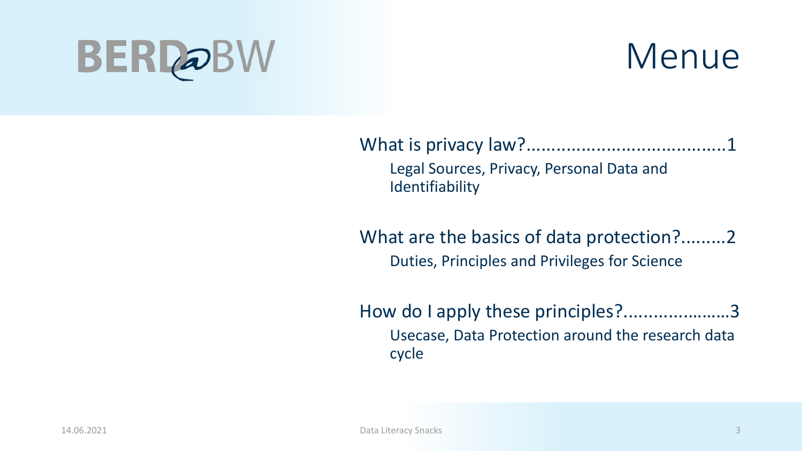

What is privacy law?........................................1 Legal Sources, Privacy, Personal Data and **Identifiability** 

What are the basics of data protection?.........2 Duties, Principles and Privileges for Science

How do I apply these principles?.....................3 Usecase, Data Protection around the research data cycle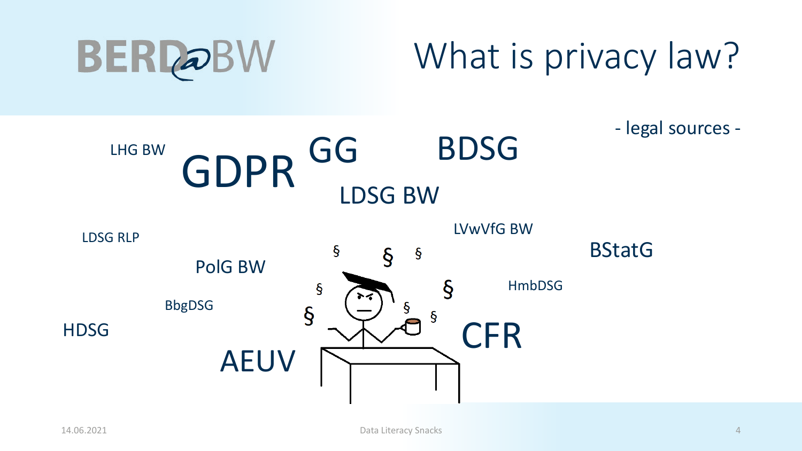

- legal sources - GDPR GG BDSG GG LHG BW LDSG BW LVwVfG BW LDSG RLP**BStatG**  $\boldsymbol{\S}$  $\S$  $\boldsymbol{\S}$ PolG BW  $\S$ HmbDSG  $\boldsymbol{\S}$ BbgDSG  $\S$  $\boldsymbol{\S}$ **HDSG CFR** AEUV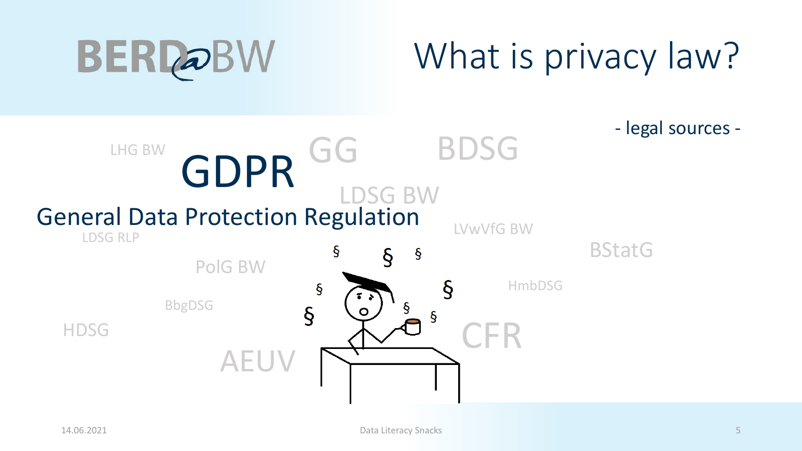

- legal sources -

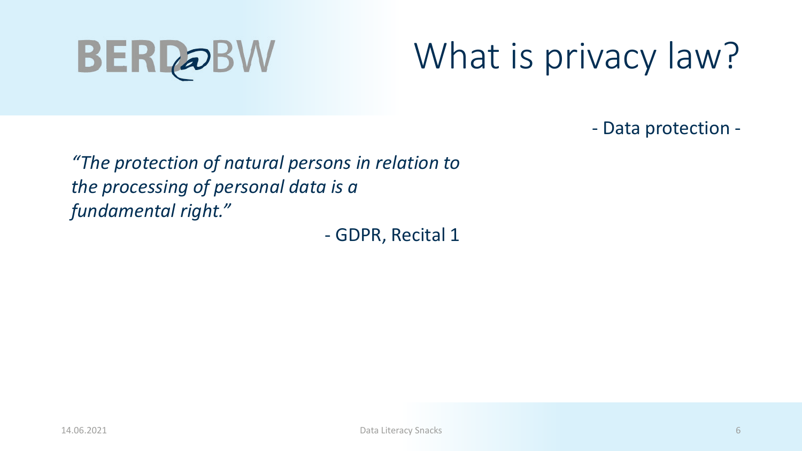

- Data protection -

*"The protection of natural persons in relation to the processing of personal data is a fundamental right."* 

- GDPR, Recital 1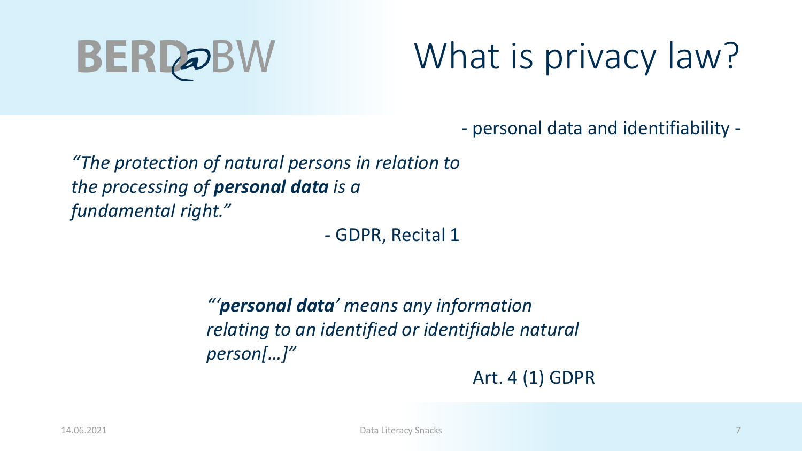

- personal data and identifiability -

*"The protection of natural persons in relation to the processing of personal data is a fundamental right."* 

- GDPR, Recital 1

*"'personal data' means any information relating to an identified or identifiable natural person[…]"*

Art. 4 (1) GDPR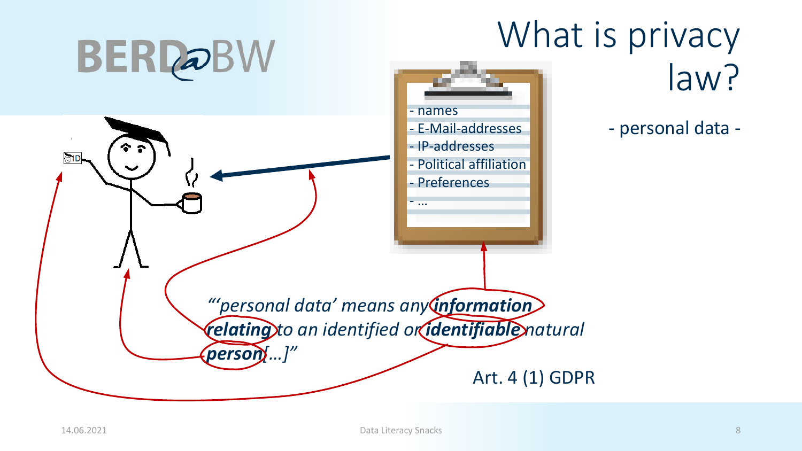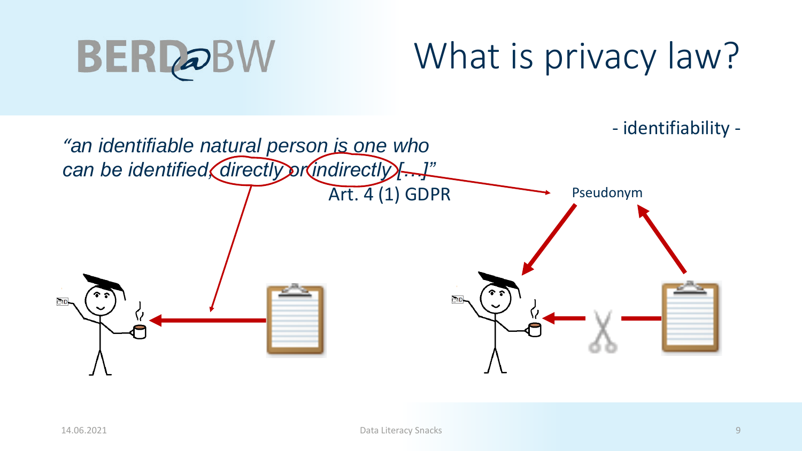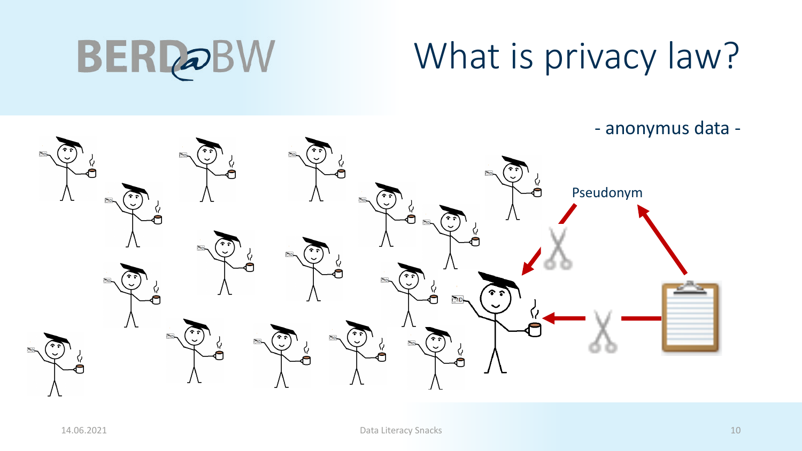**BERDOBW** 

- anonymus data -

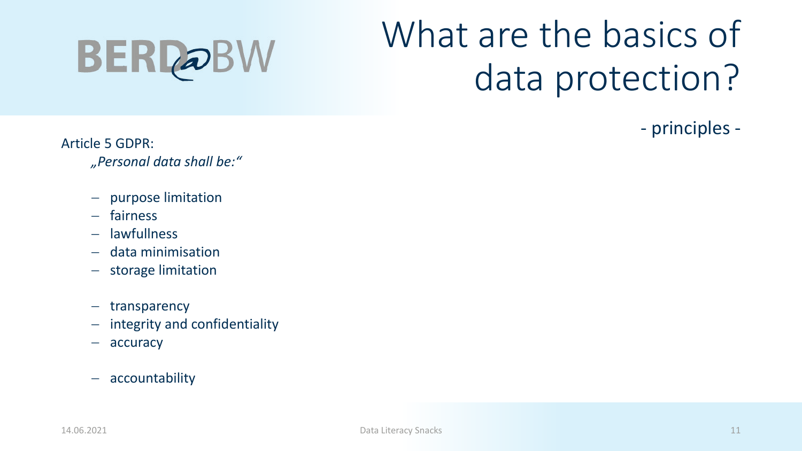

- principles -

Article 5 GDPR:

- *"Personal data shall be:"*
- − purpose limitation
- − fairness
- − lawfullness
- − data minimisation
- − storage limitation
- − transparency
- − integrity and confidentiality
- − accuracy
- − accountability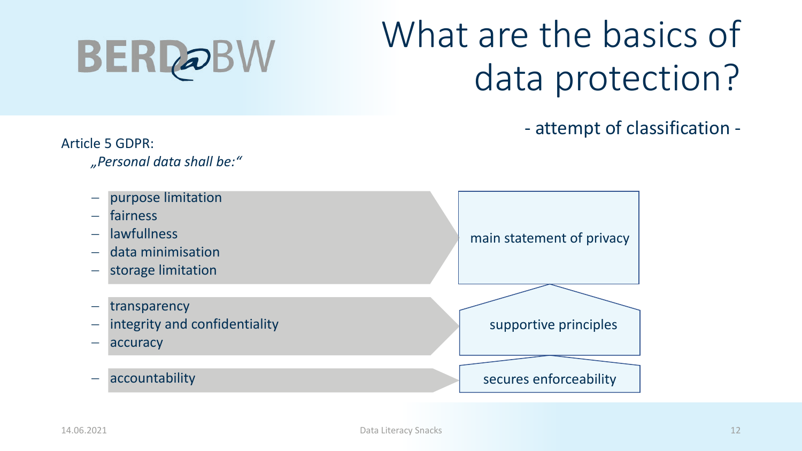

- attempt of classification -

Article 5 GDPR:

*"Personal data shall be:"*

- − purpose limitation
- − fairness
- − lawfullness
- − data minimisation
- − storage limitation
- − transparency
- − integrity and confidentiality
- − accuracy
- − accountability

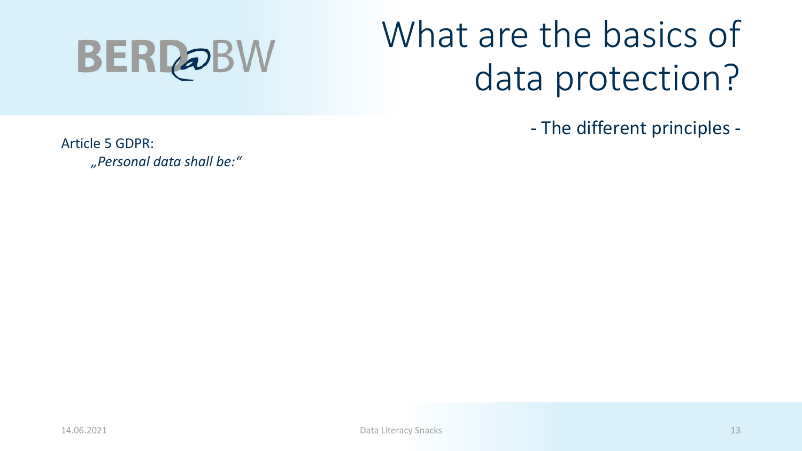

- The different principles -

Article 5 GDPR: *"Personal data shall be:"*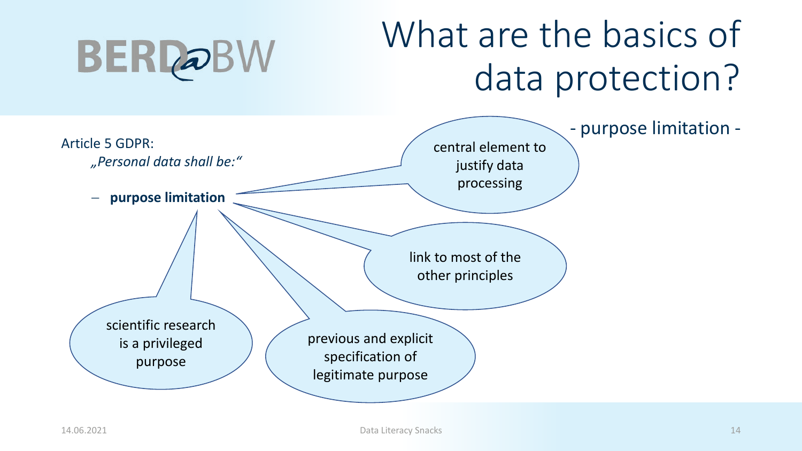#### What are the basics of data protection?

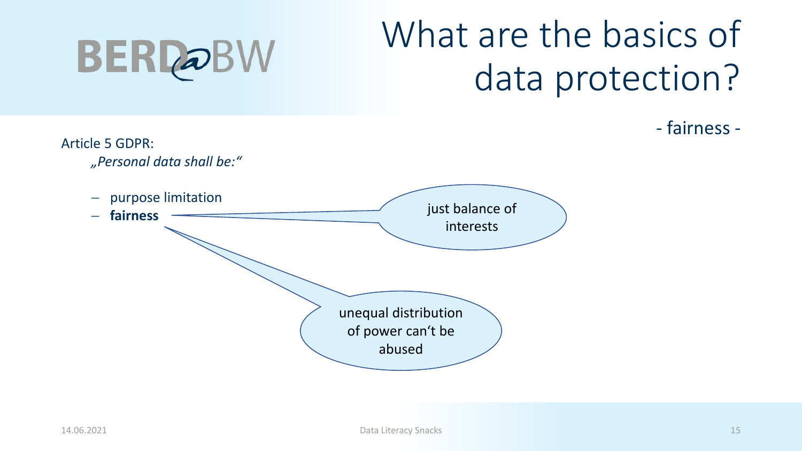

Article 5 GDPR: *"Personal data shall be:"* − purpose limitation <sup>−</sup> **fairness** just balance of interests unequal distribution of power can't be abused

- fairness -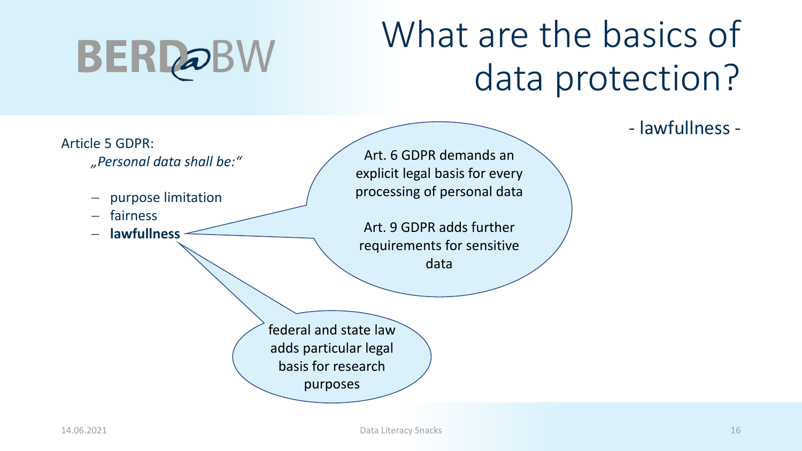### What are the basics of data protection?

- lawfullness -

#### Article 5 GDPR: *"Personal data shall be:"* − purpose limitation − fairness − **lawfullness** federal and state law adds particular legal basis for research purposes

Art. 6 GDPR demands an explicit legal basis for every processing of personal data

Art. 9 GDPR adds further requirements for sensitive data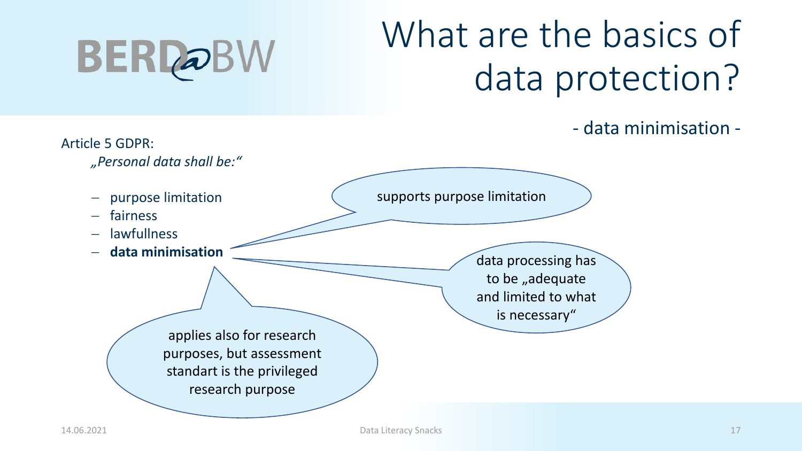

- data minimisation -

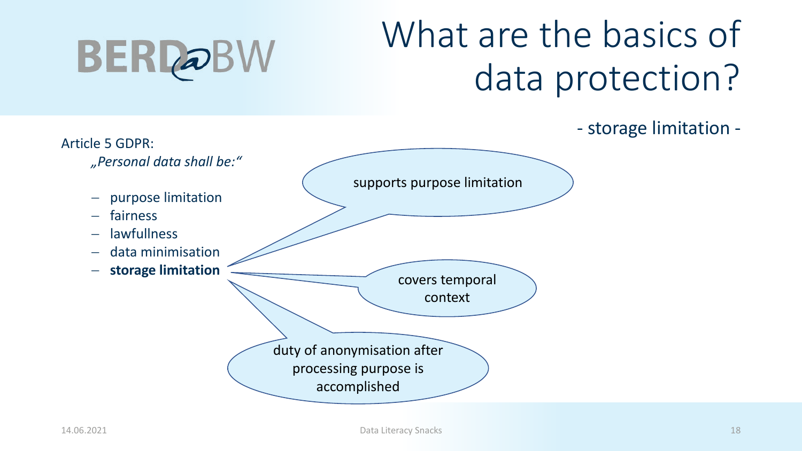#### What are the basics of data protection?

- storage limitation -

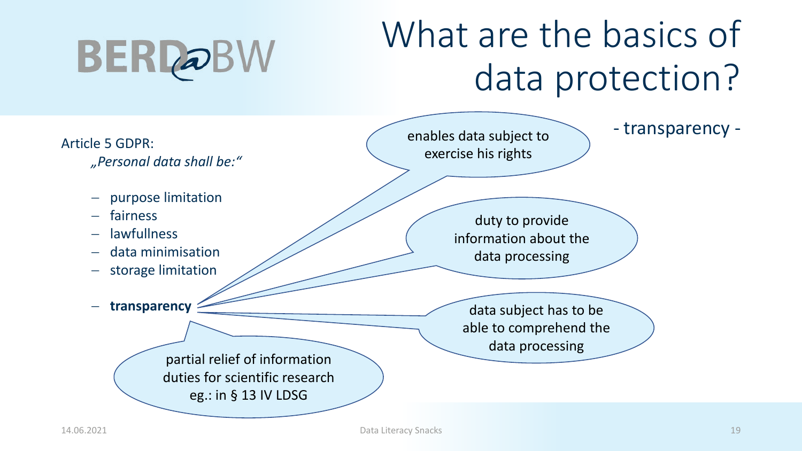#### What are the basics of data protection?

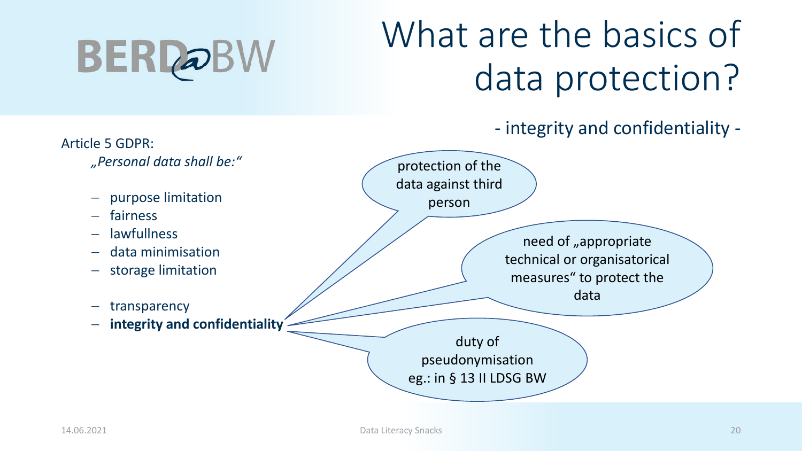## What are the basics of data protection?

- integrity and confidentiality -

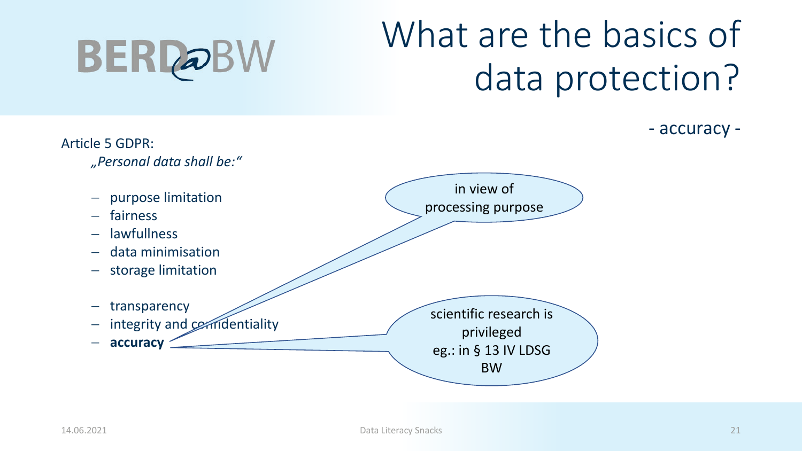

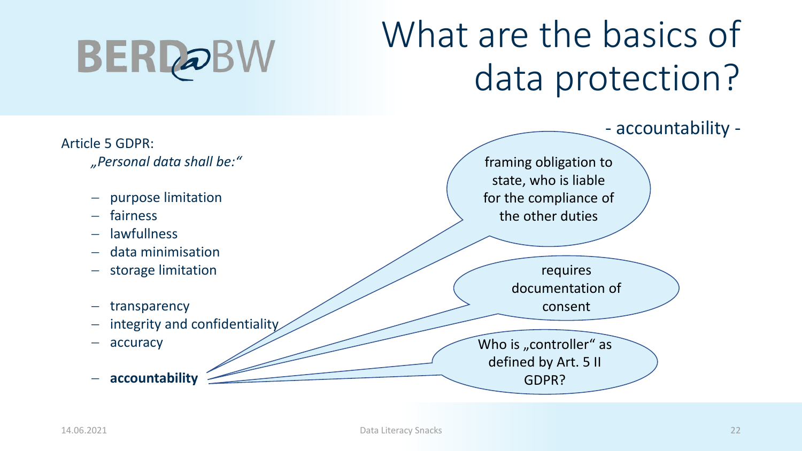

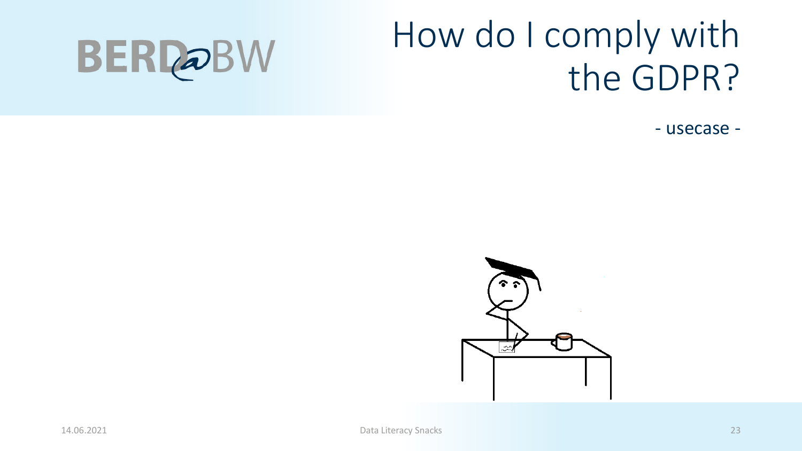#### How do I comply with the GDPR?

- usecase -

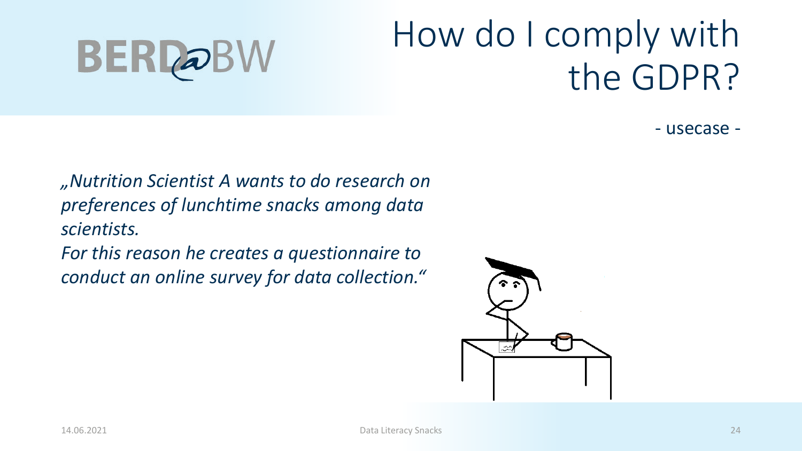#### How do I comply with the GDPR?

- usecase -

*"Nutrition Scientist A wants to do research on preferences of lunchtime snacks among data scientists.*

*For this reason he creates a questionnaire to conduct an online survey for data collection."*

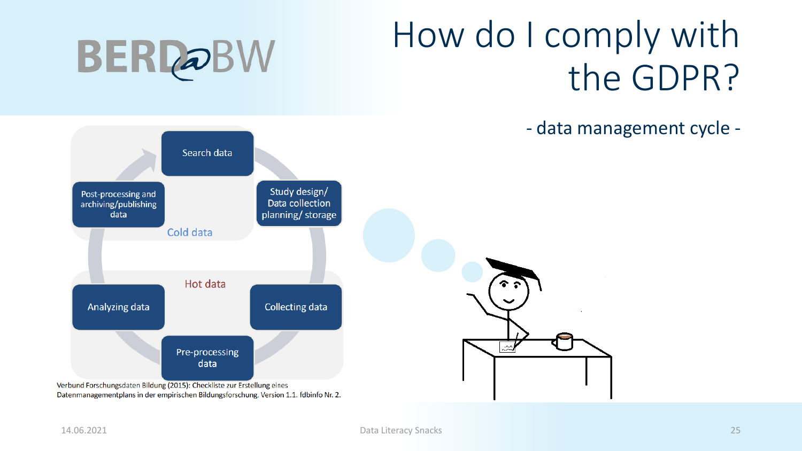**BERDOBW** 



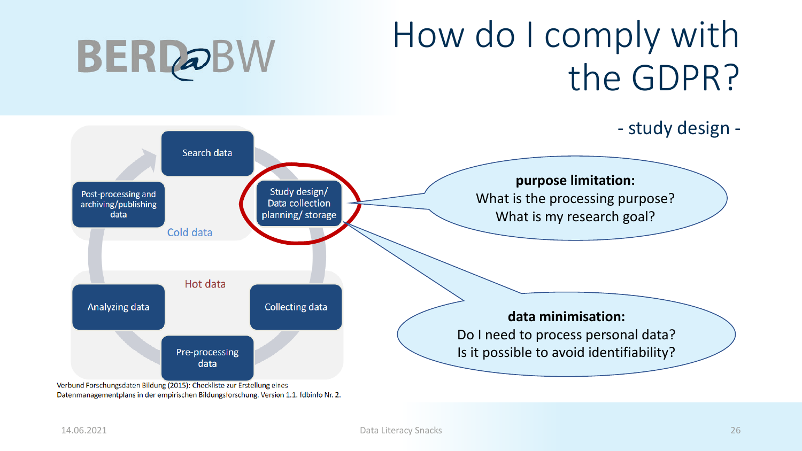#### How do I comply with the GDPR?



Datenmanagementplans in der empirischen Bildungsforschung. Version 1.1. fdbinfo Nr. 2.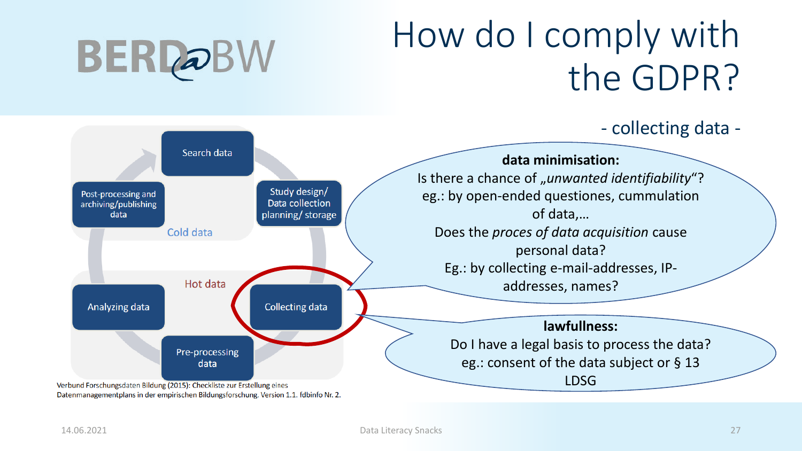

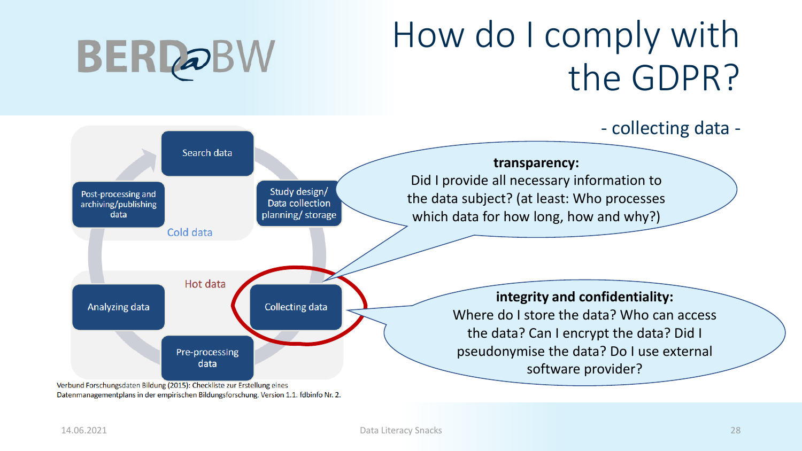



Datenmanagementplans in der empirischen Bildungsforschung. Version 1.1. fdbinfo Nr. 2.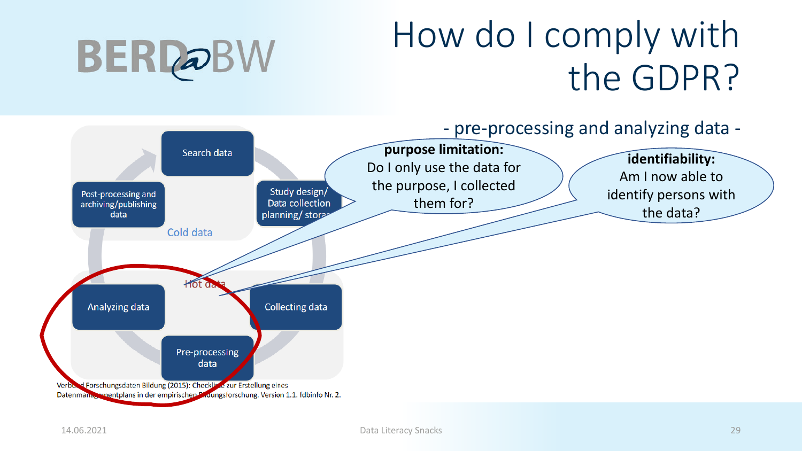

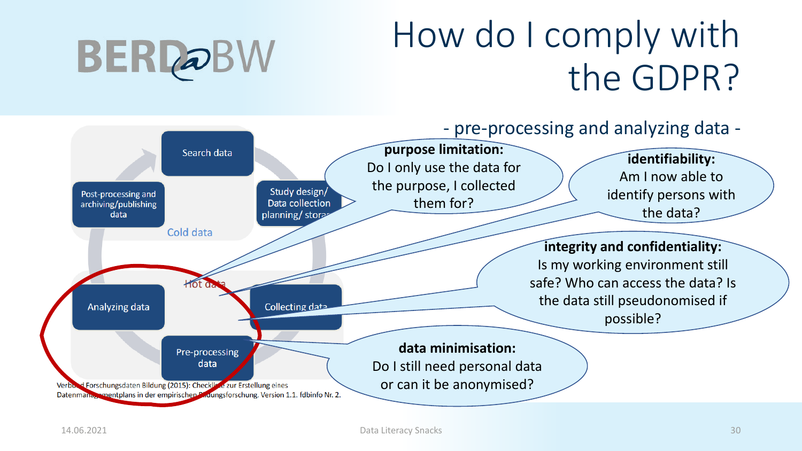

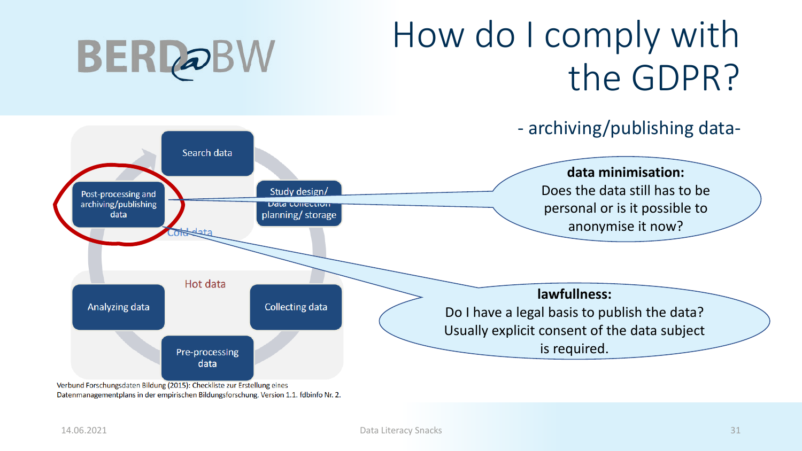



Verbund Forschungsdaten Bildung (2015): Checkliste zur Erstellung eines Datenmanagementplans in der empirischen Bildungsforschung. Version 1.1. fdbinfo Nr. 2.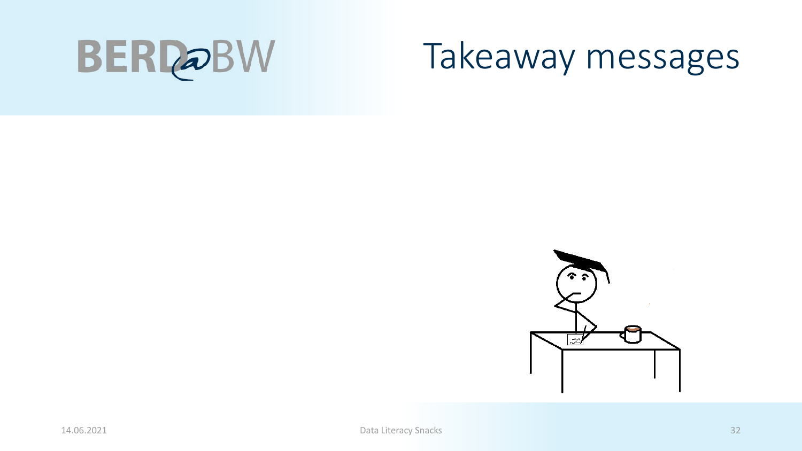

#### Takeaway messages

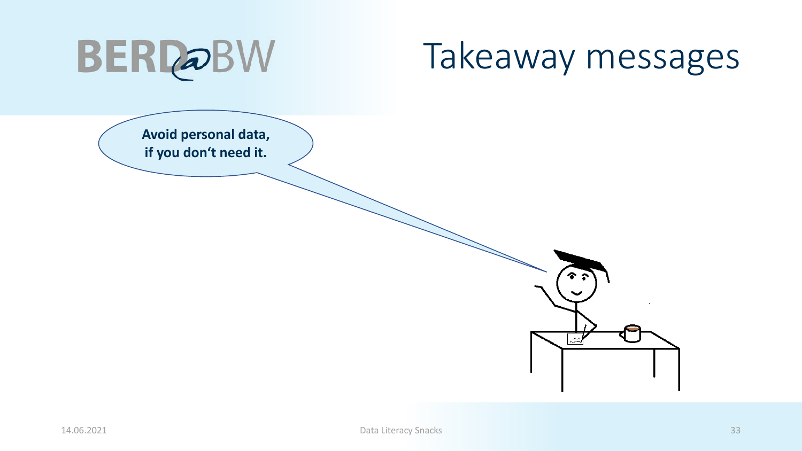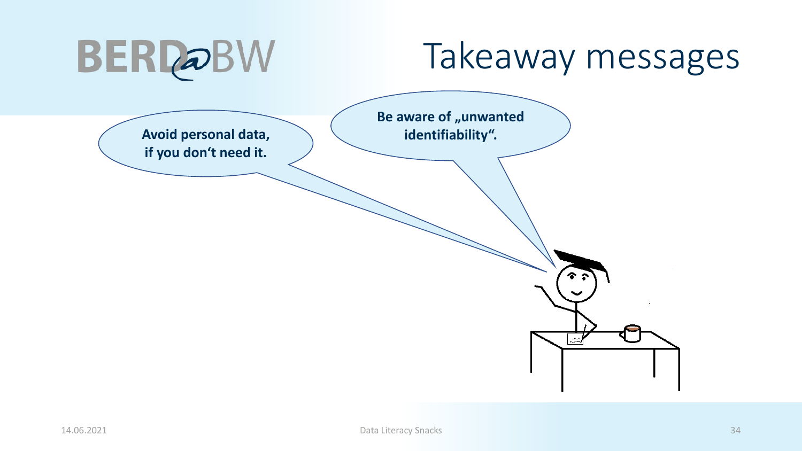| <b>BERDOBW</b>                                | Takeaway messages                                                               |
|-----------------------------------------------|---------------------------------------------------------------------------------|
| Avoid personal data,<br>if you don't need it. | Be aware of "unwanted<br>identifiability".<br>うよう ふくしょう ふくしゅう<br>$\tilde{\sim}$ |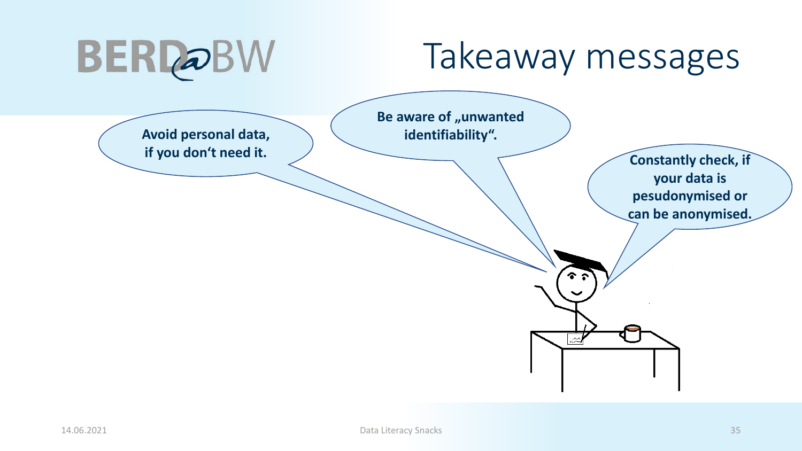| <b>BERDOBW</b>                                | Takeaway messages                                                                                                                                              |
|-----------------------------------------------|----------------------------------------------------------------------------------------------------------------------------------------------------------------|
| Avoid personal data,<br>if you don't need it. | Be aware of "unwanted<br>identifiability".<br><b>Constantly check, if</b><br>your data is<br>pesudonymised or<br>can be anonymised.<br><b>ふとう</b><br>$\approx$ |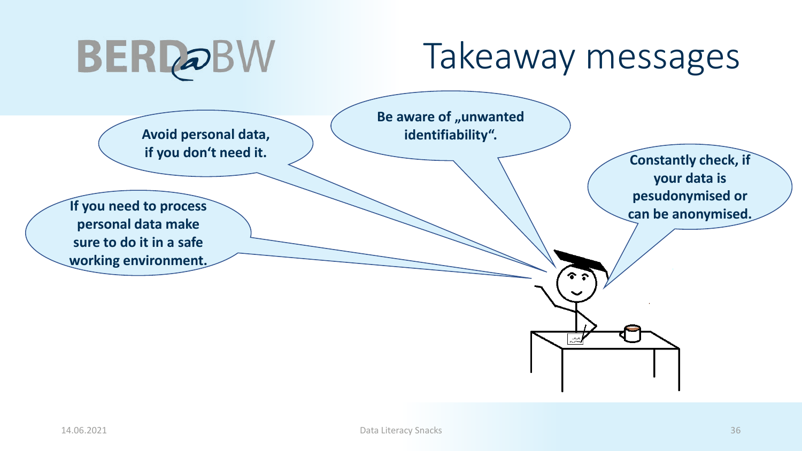| <b>BERDOBW</b>                                                                                                                                   | Takeaway messages                                                                                                                                              |
|--------------------------------------------------------------------------------------------------------------------------------------------------|----------------------------------------------------------------------------------------------------------------------------------------------------------------|
| Avoid personal data,<br>if you don't need it.<br>If you need to process<br>personal data make<br>sure to do it in a safe<br>working environment. | Be aware of "unwanted<br>identifiability".<br><b>Constantly check, if</b><br>your data is<br>pesudonymised or<br>can be anonymised.<br><b>よとも</b><br>$\approx$ |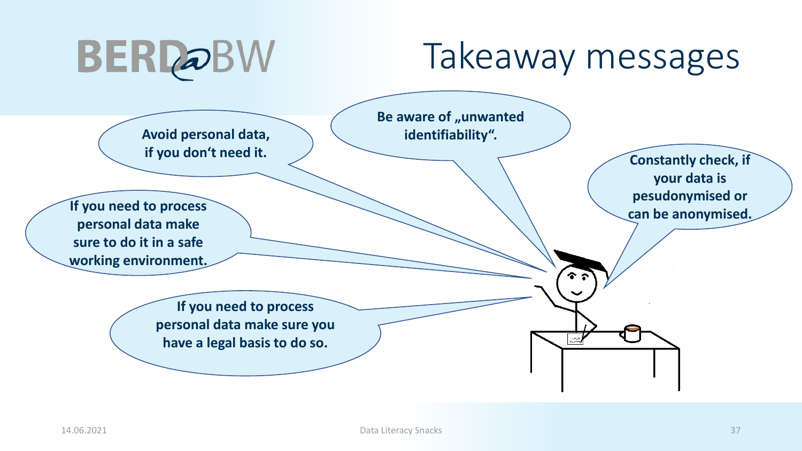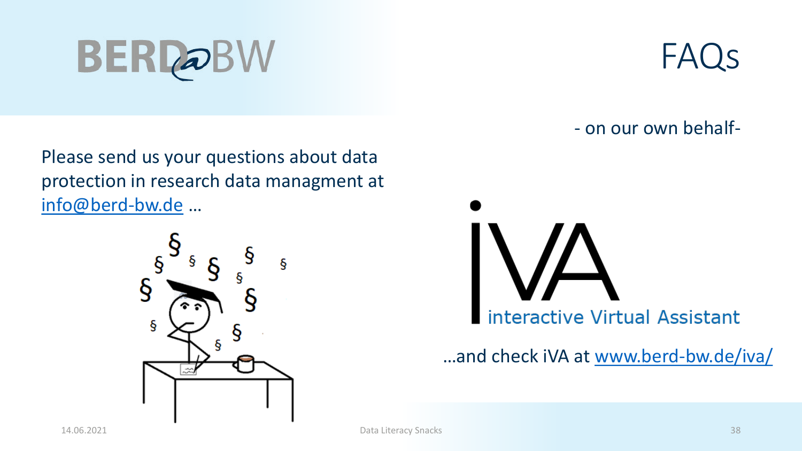Please send us your questions about data protection in research data managment at [info@berd-bw.de](mailto:kontakt@berd-bw.de) …



FAQs

- on our own behalf-



…and check iVA at [www.berd-bw.de/iva/](http://www.berd-bw.de/iva/)